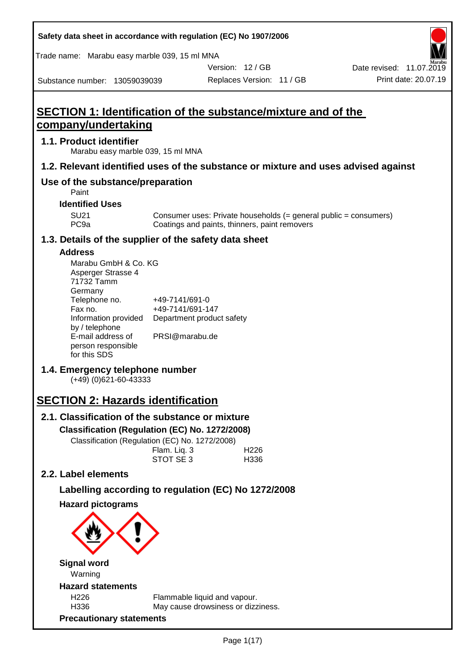| Safety data sheet in accordance with regulation (EC) No 1907/2006                  |                |                                               |                           |                                                                  |
|------------------------------------------------------------------------------------|----------------|-----------------------------------------------|---------------------------|------------------------------------------------------------------|
| Trade name: Marabu easy marble 039, 15 ml MNA                                      |                |                                               |                           |                                                                  |
|                                                                                    |                |                                               | Version: 12 / GB          | Date revised: 11.07.2019                                         |
| Substance number: 13059039039                                                      |                |                                               | Replaces Version: 11 / GB | Print date: 20.07.19                                             |
|                                                                                    |                |                                               |                           |                                                                  |
| <b>SECTION 1: Identification of the substance/mixture and of the</b>               |                |                                               |                           |                                                                  |
| company/undertaking                                                                |                |                                               |                           |                                                                  |
| 1.1. Product identifier<br>Marabu easy marble 039, 15 ml MNA                       |                |                                               |                           |                                                                  |
| 1.2. Relevant identified uses of the substance or mixture and uses advised against |                |                                               |                           |                                                                  |
| Use of the substance/preparation<br>Paint                                          |                |                                               |                           |                                                                  |
| <b>Identified Uses</b>                                                             |                |                                               |                           |                                                                  |
| <b>SU21</b><br>PC <sub>9a</sub>                                                    |                | Coatings and paints, thinners, paint removers |                           | Consumer uses: Private households (= general public = consumers) |
| 1.3. Details of the supplier of the safety data sheet                              |                |                                               |                           |                                                                  |
| <b>Address</b>                                                                     |                |                                               |                           |                                                                  |
| Marabu GmbH & Co. KG                                                               |                |                                               |                           |                                                                  |
| Asperger Strasse 4<br>71732 Tamm                                                   |                |                                               |                           |                                                                  |
| Germany                                                                            |                |                                               |                           |                                                                  |
| Telephone no.<br>Fax no.                                                           | +49-7141/691-0 | +49-7141/691-147                              |                           |                                                                  |
| Information provided                                                               |                | Department product safety                     |                           |                                                                  |
| by / telephone                                                                     |                |                                               |                           |                                                                  |
| E-mail address of<br>person responsible                                            | PRSI@marabu.de |                                               |                           |                                                                  |
| for this SDS                                                                       |                |                                               |                           |                                                                  |
| 1.4. Emergency telephone number                                                    |                |                                               |                           |                                                                  |
| $(+49)$ (0)621-60-43333                                                            |                |                                               |                           |                                                                  |
| <b>SECTION 2: Hazards identification</b>                                           |                |                                               |                           |                                                                  |
| 2.1. Classification of the substance or mixture                                    |                |                                               |                           |                                                                  |
| Classification (Regulation (EC) No. 1272/2008)                                     |                |                                               |                           |                                                                  |
| Classification (Regulation (EC) No. 1272/2008)                                     |                |                                               |                           |                                                                  |
|                                                                                    | Flam. Liq. 3   |                                               | H <sub>226</sub>          |                                                                  |
|                                                                                    | STOT SE 3      |                                               | H336                      |                                                                  |
| 2.2. Label elements                                                                |                |                                               |                           |                                                                  |
| Labelling according to regulation (EC) No 1272/2008                                |                |                                               |                           |                                                                  |
| <b>Hazard pictograms</b>                                                           |                |                                               |                           |                                                                  |
|                                                                                    |                |                                               |                           |                                                                  |
| <b>Signal word</b><br>Warning                                                      |                |                                               |                           |                                                                  |
| <b>Hazard statements</b>                                                           |                |                                               |                           |                                                                  |
| H226                                                                               |                | Flammable liquid and vapour.                  |                           |                                                                  |
| H336                                                                               |                | May cause drowsiness or dizziness.            |                           |                                                                  |
| <b>Precautionary statements</b>                                                    |                |                                               |                           |                                                                  |

Г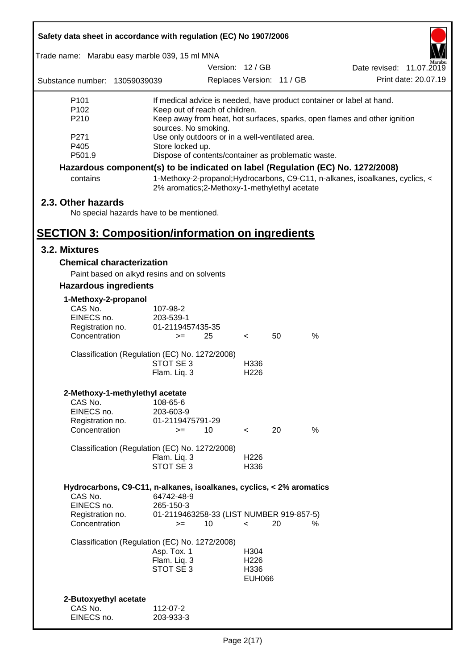| Safety data sheet in accordance with regulation (EC) No 1907/2006    |                                                                         |                           |    |                                                                                 |                          |  |  |
|----------------------------------------------------------------------|-------------------------------------------------------------------------|---------------------------|----|---------------------------------------------------------------------------------|--------------------------|--|--|
| Trade name: Marabu easy marble 039, 15 ml MNA                        |                                                                         |                           |    |                                                                                 |                          |  |  |
|                                                                      |                                                                         | Version: 12 / GB          |    |                                                                                 | Date revised: 11.07.2019 |  |  |
| Substance number: 13059039039                                        |                                                                         | Replaces Version: 11 / GB |    |                                                                                 | Print date: 20.07.19     |  |  |
| P <sub>101</sub>                                                     |                                                                         |                           |    | If medical advice is needed, have product container or label at hand.           |                          |  |  |
| P <sub>102</sub>                                                     | Keep out of reach of children.                                          |                           |    |                                                                                 |                          |  |  |
| P210                                                                 |                                                                         |                           |    | Keep away from heat, hot surfaces, sparks, open flames and other ignition       |                          |  |  |
| P271                                                                 | sources. No smoking.<br>Use only outdoors or in a well-ventilated area. |                           |    |                                                                                 |                          |  |  |
| P405                                                                 | Store locked up.                                                        |                           |    |                                                                                 |                          |  |  |
| P501.9                                                               | Dispose of contents/container as problematic waste.                     |                           |    |                                                                                 |                          |  |  |
|                                                                      |                                                                         |                           |    | Hazardous component(s) to be indicated on label (Regulation (EC) No. 1272/2008) |                          |  |  |
| contains                                                             | 2% aromatics; 2-Methoxy-1-methylethyl acetate                           |                           |    | 1-Methoxy-2-propanol; Hydrocarbons, C9-C11, n-alkanes, isoalkanes, cyclics, <   |                          |  |  |
| 2.3. Other hazards                                                   |                                                                         |                           |    |                                                                                 |                          |  |  |
| No special hazards have to be mentioned.                             |                                                                         |                           |    |                                                                                 |                          |  |  |
|                                                                      |                                                                         |                           |    |                                                                                 |                          |  |  |
| <b>SECTION 3: Composition/information on ingredients</b>             |                                                                         |                           |    |                                                                                 |                          |  |  |
| 3.2. Mixtures                                                        |                                                                         |                           |    |                                                                                 |                          |  |  |
| <b>Chemical characterization</b>                                     |                                                                         |                           |    |                                                                                 |                          |  |  |
|                                                                      | Paint based on alkyd resins and on solvents                             |                           |    |                                                                                 |                          |  |  |
| <b>Hazardous ingredients</b>                                         |                                                                         |                           |    |                                                                                 |                          |  |  |
| 1-Methoxy-2-propanol                                                 |                                                                         |                           |    |                                                                                 |                          |  |  |
| CAS No.                                                              | 107-98-2                                                                |                           |    |                                                                                 |                          |  |  |
| EINECS no.                                                           | 203-539-1                                                               |                           |    |                                                                                 |                          |  |  |
| Registration no.                                                     | 01-2119457435-35                                                        |                           |    |                                                                                 |                          |  |  |
| Concentration                                                        | 25<br>$>=$                                                              | $\prec$                   | 50 | $\%$                                                                            |                          |  |  |
|                                                                      | Classification (Regulation (EC) No. 1272/2008)                          |                           |    |                                                                                 |                          |  |  |
|                                                                      | STOT SE 3                                                               | H336                      |    |                                                                                 |                          |  |  |
|                                                                      | Flam. Liq. 3                                                            | H <sub>226</sub>          |    |                                                                                 |                          |  |  |
| 2-Methoxy-1-methylethyl acetate                                      |                                                                         |                           |    |                                                                                 |                          |  |  |
| CAS No.                                                              | 108-65-6                                                                |                           |    |                                                                                 |                          |  |  |
| EINECS no.                                                           | 203-603-9                                                               |                           |    |                                                                                 |                          |  |  |
| Registration no.                                                     | 01-2119475791-29                                                        |                           |    |                                                                                 |                          |  |  |
| Concentration                                                        | 10<br>$>=$                                                              | $\overline{\phantom{a}}$  | 20 | %                                                                               |                          |  |  |
|                                                                      | Classification (Regulation (EC) No. 1272/2008)                          |                           |    |                                                                                 |                          |  |  |
|                                                                      | Flam. Liq. 3                                                            | H <sub>226</sub>          |    |                                                                                 |                          |  |  |
|                                                                      | STOT SE 3                                                               | H336                      |    |                                                                                 |                          |  |  |
|                                                                      |                                                                         |                           |    |                                                                                 |                          |  |  |
| Hydrocarbons, C9-C11, n-alkanes, isoalkanes, cyclics, < 2% aromatics |                                                                         |                           |    |                                                                                 |                          |  |  |
| CAS No.                                                              | 64742-48-9                                                              |                           |    |                                                                                 |                          |  |  |
| EINECS no.<br>Registration no.                                       | 265-150-3<br>01-2119463258-33 (LIST NUMBER 919-857-5)                   |                           |    |                                                                                 |                          |  |  |
| Concentration                                                        | 10<br>$>=$                                                              | $\,<\,$                   | 20 | %                                                                               |                          |  |  |
|                                                                      |                                                                         |                           |    |                                                                                 |                          |  |  |
|                                                                      | Classification (Regulation (EC) No. 1272/2008)                          |                           |    |                                                                                 |                          |  |  |
|                                                                      | Asp. Tox. 1                                                             | H304                      |    |                                                                                 |                          |  |  |
|                                                                      | Flam. Liq. 3                                                            | H <sub>226</sub>          |    |                                                                                 |                          |  |  |
|                                                                      | STOT SE 3                                                               | H336<br><b>EUH066</b>     |    |                                                                                 |                          |  |  |
|                                                                      |                                                                         |                           |    |                                                                                 |                          |  |  |
| 2-Butoxyethyl acetate                                                |                                                                         |                           |    |                                                                                 |                          |  |  |
| CAS No.                                                              | 112-07-2                                                                |                           |    |                                                                                 |                          |  |  |
| EINECS no.                                                           | 203-933-3                                                               |                           |    |                                                                                 |                          |  |  |
|                                                                      |                                                                         |                           |    |                                                                                 |                          |  |  |

ī

Г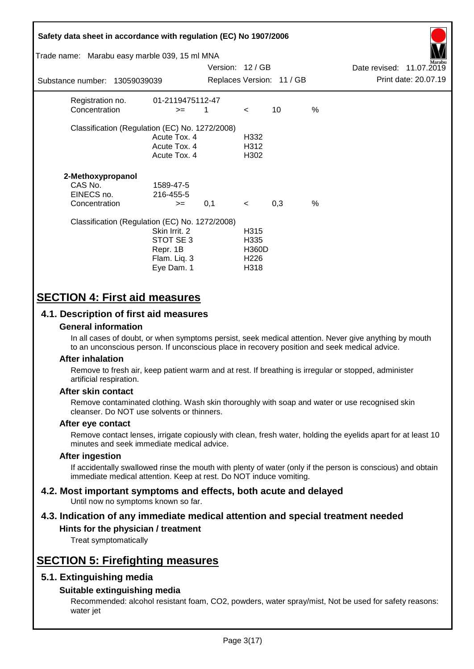| Safety data sheet in accordance with regulation (EC) No 1907/2006<br>Trade name: Marabu easy marble 039, 15 ml MNA<br>Marabu<br>Version: 12 / GB<br>Date revised: 11.07.2019 |                                                                     |     |                                                          |                           |               |  |                      |
|------------------------------------------------------------------------------------------------------------------------------------------------------------------------------|---------------------------------------------------------------------|-----|----------------------------------------------------------|---------------------------|---------------|--|----------------------|
| Substance number: 13059039039                                                                                                                                                |                                                                     |     |                                                          | Replaces Version: 11 / GB |               |  | Print date: 20.07.19 |
| Registration no.<br>Concentration                                                                                                                                            | 01-2119475112-47<br>$>=$                                            | 1   | $\lt$                                                    | 10                        | $\frac{0}{0}$ |  |                      |
| Classification (Regulation (EC) No. 1272/2008)                                                                                                                               | Acute Tox. 4<br>Acute Tox. 4<br>Acute Tox. 4                        |     | H332<br>H312<br>H302                                     |                           |               |  |                      |
| 2-Methoxypropanol<br>CAS No.<br>EINECS no.<br>Concentration                                                                                                                  | 1589-47-5<br>216-455-5<br>$>=$                                      | 0,1 | $\prec$                                                  | 0,3                       | $\%$          |  |                      |
| Classification (Regulation (EC) No. 1272/2008)                                                                                                                               | Skin Irrit, 2<br>STOT SE3<br>Repr. 1B<br>Flam. Liq. 3<br>Eye Dam. 1 |     | H315<br>H335<br><b>H360D</b><br>H <sub>226</sub><br>H318 |                           |               |  |                      |

# **SECTION 4: First aid measures**

## **4.1. Description of first aid measures**

### **General information**

In all cases of doubt, or when symptoms persist, seek medical attention. Never give anything by mouth to an unconscious person. If unconscious place in recovery position and seek medical advice.

### **After inhalation**

Remove to fresh air, keep patient warm and at rest. If breathing is irregular or stopped, administer artificial respiration.

### **After skin contact**

Remove contaminated clothing. Wash skin thoroughly with soap and water or use recognised skin cleanser. Do NOT use solvents or thinners.

### **After eye contact**

Remove contact lenses, irrigate copiously with clean, fresh water, holding the eyelids apart for at least 10 minutes and seek immediate medical advice.

### **After ingestion**

If accidentally swallowed rinse the mouth with plenty of water (only if the person is conscious) and obtain immediate medical attention. Keep at rest. Do NOT induce vomiting.

#### **4.2. Most important symptoms and effects, both acute and delayed** Until now no symptoms known so far.

# **4.3. Indication of any immediate medical attention and special treatment needed**

## **Hints for the physician / treatment**

Treat symptomatically

# **SECTION 5: Firefighting measures**

## **5.1. Extinguishing media**

### **Suitable extinguishing media**

Recommended: alcohol resistant foam, CO2, powders, water spray/mist, Not be used for safety reasons: water jet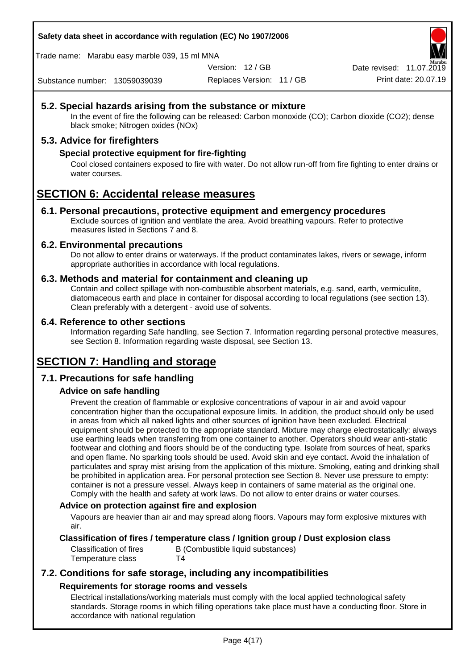**Safety data sheet in accordance with regulation (EC) No 1907/2006**

Trade name: Marabu easy marble 039, 15 ml MNA

Version: 12 / GB

Replaces Version: 11 / GB Print date: 20.07.19 Date revised: 11.07.2019

Substance number: 13059039039

## **5.2. Special hazards arising from the substance or mixture**

In the event of fire the following can be released: Carbon monoxide (CO); Carbon dioxide (CO2); dense black smoke; Nitrogen oxides (NOx)

## **5.3. Advice for firefighters**

## **Special protective equipment for fire-fighting**

Cool closed containers exposed to fire with water. Do not allow run-off from fire fighting to enter drains or water courses.

# **SECTION 6: Accidental release measures**

### **6.1. Personal precautions, protective equipment and emergency procedures**

Exclude sources of ignition and ventilate the area. Avoid breathing vapours. Refer to protective measures listed in Sections 7 and 8.

### **6.2. Environmental precautions**

Do not allow to enter drains or waterways. If the product contaminates lakes, rivers or sewage, inform appropriate authorities in accordance with local regulations.

### **6.3. Methods and material for containment and cleaning up**

Contain and collect spillage with non-combustible absorbent materials, e.g. sand, earth, vermiculite, diatomaceous earth and place in container for disposal according to local regulations (see section 13). Clean preferably with a detergent - avoid use of solvents.

### **6.4. Reference to other sections**

Information regarding Safe handling, see Section 7. Information regarding personal protective measures, see Section 8. Information regarding waste disposal, see Section 13.

# **SECTION 7: Handling and storage**

## **7.1. Precautions for safe handling**

## **Advice on safe handling**

Prevent the creation of flammable or explosive concentrations of vapour in air and avoid vapour concentration higher than the occupational exposure limits. In addition, the product should only be used in areas from which all naked lights and other sources of ignition have been excluded. Electrical equipment should be protected to the appropriate standard. Mixture may charge electrostatically: always use earthing leads when transferring from one container to another. Operators should wear anti-static footwear and clothing and floors should be of the conducting type. Isolate from sources of heat, sparks and open flame. No sparking tools should be used. Avoid skin and eye contact. Avoid the inhalation of particulates and spray mist arising from the application of this mixture. Smoking, eating and drinking shall be prohibited in application area. For personal protection see Section 8. Never use pressure to empty: container is not a pressure vessel. Always keep in containers of same material as the original one. Comply with the health and safety at work laws. Do not allow to enter drains or water courses.

### **Advice on protection against fire and explosion**

Vapours are heavier than air and may spread along floors. Vapours may form explosive mixtures with air.

### **Classification of fires / temperature class / Ignition group / Dust explosion class**

Temperature class T4

Classification of fires B (Combustible liquid substances)

## **7.2. Conditions for safe storage, including any incompatibilities Requirements for storage rooms and vessels**

Electrical installations/working materials must comply with the local applied technological safety standards. Storage rooms in which filling operations take place must have a conducting floor. Store in accordance with national regulation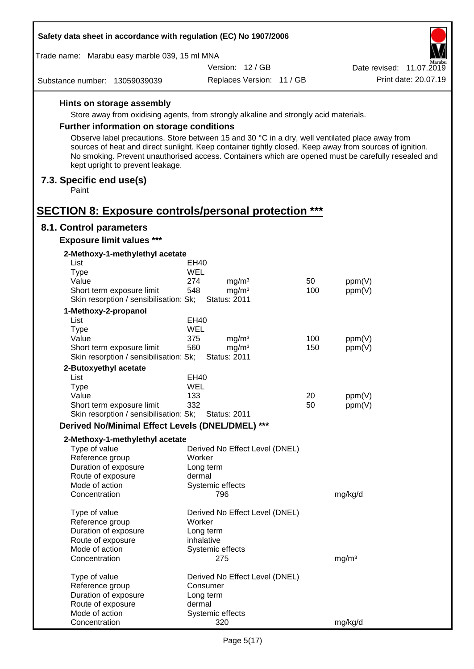| Safety data sheet in accordance with regulation (EC) No 1907/2006   |                                                                                                                                                                                                                                                                                                                   |     |                          |  |  |  |
|---------------------------------------------------------------------|-------------------------------------------------------------------------------------------------------------------------------------------------------------------------------------------------------------------------------------------------------------------------------------------------------------------|-----|--------------------------|--|--|--|
| Trade name: Marabu easy marble 039, 15 ml MNA<br>farabu             |                                                                                                                                                                                                                                                                                                                   |     |                          |  |  |  |
|                                                                     | Version: 12 / GB                                                                                                                                                                                                                                                                                                  |     | Date revised: 11.07.2019 |  |  |  |
| Substance number: 13059039039                                       | Replaces Version: 11 / GB                                                                                                                                                                                                                                                                                         |     | Print date: 20.07.19     |  |  |  |
| Hints on storage assembly                                           |                                                                                                                                                                                                                                                                                                                   |     |                          |  |  |  |
|                                                                     | Store away from oxidising agents, from strongly alkaline and strongly acid materials.                                                                                                                                                                                                                             |     |                          |  |  |  |
| <b>Further information on storage conditions</b>                    |                                                                                                                                                                                                                                                                                                                   |     |                          |  |  |  |
|                                                                     |                                                                                                                                                                                                                                                                                                                   |     |                          |  |  |  |
| kept upright to prevent leakage.                                    | Observe label precautions. Store between 15 and 30 °C in a dry, well ventilated place away from<br>sources of heat and direct sunlight. Keep container tightly closed. Keep away from sources of ignition.<br>No smoking. Prevent unauthorised access. Containers which are opened must be carefully resealed and |     |                          |  |  |  |
| 7.3. Specific end use(s)<br>Paint                                   |                                                                                                                                                                                                                                                                                                                   |     |                          |  |  |  |
| <b>SECTION 8: Exposure controls/personal protection ***</b>         |                                                                                                                                                                                                                                                                                                                   |     |                          |  |  |  |
| 8.1. Control parameters                                             |                                                                                                                                                                                                                                                                                                                   |     |                          |  |  |  |
| <b>Exposure limit values ***</b>                                    |                                                                                                                                                                                                                                                                                                                   |     |                          |  |  |  |
| 2-Methoxy-1-methylethyl acetate                                     |                                                                                                                                                                                                                                                                                                                   |     |                          |  |  |  |
| List                                                                | EH40                                                                                                                                                                                                                                                                                                              |     |                          |  |  |  |
| <b>Type</b>                                                         | <b>WEL</b>                                                                                                                                                                                                                                                                                                        |     |                          |  |  |  |
| Value                                                               | 274<br>mg/m <sup>3</sup>                                                                                                                                                                                                                                                                                          | 50  | ppm(V)                   |  |  |  |
| Short term exposure limit<br>Skin resorption / sensibilisation: Sk; | 548<br>mg/m <sup>3</sup><br><b>Status: 2011</b>                                                                                                                                                                                                                                                                   | 100 | ppm(V)                   |  |  |  |
|                                                                     |                                                                                                                                                                                                                                                                                                                   |     |                          |  |  |  |
| 1-Methoxy-2-propanol                                                |                                                                                                                                                                                                                                                                                                                   |     |                          |  |  |  |
| List                                                                | EH40<br><b>WEL</b>                                                                                                                                                                                                                                                                                                |     |                          |  |  |  |
| <b>Type</b><br>Value                                                | 375<br>mg/m <sup>3</sup>                                                                                                                                                                                                                                                                                          | 100 | ppm(V)                   |  |  |  |
| Short term exposure limit                                           | 560<br>mg/m <sup>3</sup>                                                                                                                                                                                                                                                                                          | 150 | ppm(V)                   |  |  |  |
| Skin resorption / sensibilisation: Sk;                              | <b>Status: 2011</b>                                                                                                                                                                                                                                                                                               |     |                          |  |  |  |
| 2-Butoxyethyl acetate                                               |                                                                                                                                                                                                                                                                                                                   |     |                          |  |  |  |
| List                                                                | EH40                                                                                                                                                                                                                                                                                                              |     |                          |  |  |  |
| Type                                                                | WEL                                                                                                                                                                                                                                                                                                               |     |                          |  |  |  |
| Value                                                               | 133                                                                                                                                                                                                                                                                                                               | 20  | ppm(V)                   |  |  |  |
| Short term exposure limit                                           | 332                                                                                                                                                                                                                                                                                                               | 50  | ppm(V)                   |  |  |  |
| Skin resorption / sensibilisation: Sk;                              | <b>Status: 2011</b>                                                                                                                                                                                                                                                                                               |     |                          |  |  |  |
| Derived No/Minimal Effect Levels (DNEL/DMEL) ***                    |                                                                                                                                                                                                                                                                                                                   |     |                          |  |  |  |
| 2-Methoxy-1-methylethyl acetate                                     |                                                                                                                                                                                                                                                                                                                   |     |                          |  |  |  |
| Type of value                                                       | Derived No Effect Level (DNEL)                                                                                                                                                                                                                                                                                    |     |                          |  |  |  |
| Reference group                                                     | Worker                                                                                                                                                                                                                                                                                                            |     |                          |  |  |  |
| Duration of exposure                                                | Long term                                                                                                                                                                                                                                                                                                         |     |                          |  |  |  |
| Route of exposure<br>Mode of action                                 | dermal                                                                                                                                                                                                                                                                                                            |     |                          |  |  |  |
| Concentration                                                       | Systemic effects<br>796                                                                                                                                                                                                                                                                                           |     | mg/kg/d                  |  |  |  |
| Type of value                                                       | Derived No Effect Level (DNEL)                                                                                                                                                                                                                                                                                    |     |                          |  |  |  |
| Reference group                                                     | Worker                                                                                                                                                                                                                                                                                                            |     |                          |  |  |  |
| Duration of exposure                                                | Long term                                                                                                                                                                                                                                                                                                         |     |                          |  |  |  |
| Route of exposure                                                   | inhalative                                                                                                                                                                                                                                                                                                        |     |                          |  |  |  |
| Mode of action                                                      | Systemic effects                                                                                                                                                                                                                                                                                                  |     |                          |  |  |  |
| Concentration                                                       | 275                                                                                                                                                                                                                                                                                                               |     | mg/m <sup>3</sup>        |  |  |  |
| Type of value                                                       | Derived No Effect Level (DNEL)                                                                                                                                                                                                                                                                                    |     |                          |  |  |  |
| Reference group                                                     | Consumer                                                                                                                                                                                                                                                                                                          |     |                          |  |  |  |
| Duration of exposure                                                | Long term                                                                                                                                                                                                                                                                                                         |     |                          |  |  |  |
| Route of exposure                                                   | dermal                                                                                                                                                                                                                                                                                                            |     |                          |  |  |  |
| Mode of action                                                      | Systemic effects                                                                                                                                                                                                                                                                                                  |     |                          |  |  |  |
| Concentration                                                       | 320                                                                                                                                                                                                                                                                                                               |     | mg/kg/d                  |  |  |  |

 $\Gamma$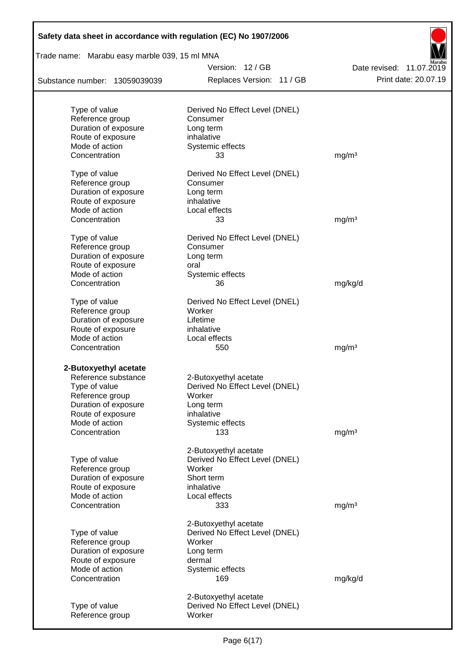| Safety data sheet in accordance with regulation (EC) No 1907/2006 |                                |                          |
|-------------------------------------------------------------------|--------------------------------|--------------------------|
| Trade name: Marabu easy marble 039, 15 ml MNA                     |                                |                          |
|                                                                   | Version: 12 / GB               | Date revised: 11.07.2019 |
| Substance number: 13059039039                                     | Replaces Version: 11 / GB      | Print date: 20.07.19     |
|                                                                   |                                |                          |
| Type of value                                                     | Derived No Effect Level (DNEL) |                          |
| Reference group                                                   | Consumer                       |                          |
| Duration of exposure                                              | Long term                      |                          |
| Route of exposure                                                 | inhalative                     |                          |
| Mode of action                                                    | Systemic effects               |                          |
| Concentration                                                     | 33                             | mg/m <sup>3</sup>        |
| Type of value                                                     | Derived No Effect Level (DNEL) |                          |
| Reference group                                                   | Consumer                       |                          |
| Duration of exposure                                              | Long term                      |                          |
| Route of exposure                                                 | inhalative                     |                          |
| Mode of action                                                    | Local effects                  |                          |
| Concentration                                                     | 33                             | mg/m <sup>3</sup>        |
| Type of value                                                     | Derived No Effect Level (DNEL) |                          |
| Reference group                                                   | Consumer                       |                          |
| Duration of exposure                                              | Long term                      |                          |
| Route of exposure                                                 | oral                           |                          |
| Mode of action                                                    | Systemic effects               |                          |
| Concentration                                                     | 36                             | mg/kg/d                  |
| Type of value                                                     | Derived No Effect Level (DNEL) |                          |
| Reference group                                                   | Worker                         |                          |
| Duration of exposure                                              | Lifetime                       |                          |
| Route of exposure                                                 | inhalative                     |                          |
| Mode of action                                                    | Local effects                  |                          |
| Concentration                                                     | 550                            | mg/m <sup>3</sup>        |
| 2-Butoxyethyl acetate                                             |                                |                          |
| Reference substance                                               | 2-Butoxyethyl acetate          |                          |
| Type of value                                                     | Derived No Effect Level (DNEL) |                          |
| Reference group                                                   | Worker                         |                          |
| Duration of exposure                                              | Long term                      |                          |
| Route of exposure                                                 | inhalative                     |                          |
| Mode of action                                                    | Systemic effects               |                          |
| Concentration                                                     | 133                            | mg/m <sup>3</sup>        |
|                                                                   | 2-Butoxyethyl acetate          |                          |
| Type of value                                                     | Derived No Effect Level (DNEL) |                          |
| Reference group                                                   | Worker                         |                          |
| Duration of exposure                                              | Short term                     |                          |
| Route of exposure                                                 | inhalative                     |                          |
| Mode of action                                                    | Local effects                  |                          |
| Concentration                                                     | 333                            | mg/m <sup>3</sup>        |
|                                                                   | 2-Butoxyethyl acetate          |                          |
| Type of value                                                     | Derived No Effect Level (DNEL) |                          |
| Reference group                                                   | Worker                         |                          |
| Duration of exposure                                              | Long term                      |                          |
| Route of exposure                                                 | dermal                         |                          |
| Mode of action                                                    | Systemic effects               |                          |
| Concentration                                                     | 169                            | mg/kg/d                  |
|                                                                   | 2-Butoxyethyl acetate          |                          |
| Type of value                                                     | Derived No Effect Level (DNEL) |                          |
| Reference group                                                   | Worker                         |                          |
|                                                                   |                                |                          |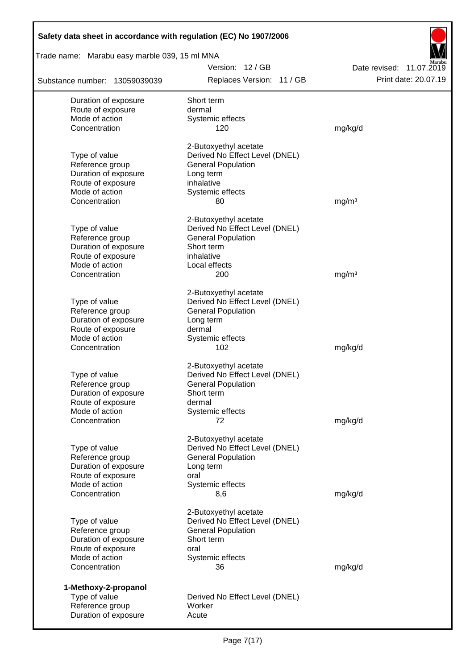| Safety data sheet in accordance with regulation (EC) No 1907/2006 |                                                             |                          |  |  |  |  |  |
|-------------------------------------------------------------------|-------------------------------------------------------------|--------------------------|--|--|--|--|--|
| Trade name: Marabu easy marble 039, 15 ml MNA                     |                                                             |                          |  |  |  |  |  |
|                                                                   | Version: 12 / GB                                            | Date revised: 11.07.2019 |  |  |  |  |  |
| Substance number: 13059039039                                     | Replaces Version: 11 / GB                                   | Print date: 20.07.19     |  |  |  |  |  |
| Duration of exposure                                              | Short term                                                  |                          |  |  |  |  |  |
| Route of exposure                                                 | dermal                                                      |                          |  |  |  |  |  |
| Mode of action                                                    | Systemic effects                                            |                          |  |  |  |  |  |
| Concentration                                                     | 120                                                         | mg/kg/d                  |  |  |  |  |  |
|                                                                   | 2-Butoxyethyl acetate                                       |                          |  |  |  |  |  |
| Type of value                                                     | Derived No Effect Level (DNEL)                              |                          |  |  |  |  |  |
| Reference group<br>Duration of exposure                           | <b>General Population</b><br>Long term                      |                          |  |  |  |  |  |
| Route of exposure                                                 | inhalative                                                  |                          |  |  |  |  |  |
| Mode of action                                                    | Systemic effects                                            |                          |  |  |  |  |  |
| Concentration                                                     | 80                                                          | mg/m <sup>3</sup>        |  |  |  |  |  |
|                                                                   |                                                             |                          |  |  |  |  |  |
| Type of value                                                     | 2-Butoxyethyl acetate<br>Derived No Effect Level (DNEL)     |                          |  |  |  |  |  |
| Reference group                                                   | <b>General Population</b>                                   |                          |  |  |  |  |  |
| Duration of exposure                                              | Short term                                                  |                          |  |  |  |  |  |
| Route of exposure                                                 | inhalative                                                  |                          |  |  |  |  |  |
| Mode of action                                                    | Local effects                                               |                          |  |  |  |  |  |
| Concentration                                                     | 200                                                         | mg/m <sup>3</sup>        |  |  |  |  |  |
|                                                                   | 2-Butoxyethyl acetate                                       |                          |  |  |  |  |  |
| Type of value                                                     | Derived No Effect Level (DNEL)                              |                          |  |  |  |  |  |
| Reference group                                                   | <b>General Population</b>                                   |                          |  |  |  |  |  |
| Duration of exposure                                              | Long term                                                   |                          |  |  |  |  |  |
| Route of exposure                                                 | dermal                                                      |                          |  |  |  |  |  |
| Mode of action<br>Concentration                                   | Systemic effects<br>102                                     | mg/kg/d                  |  |  |  |  |  |
|                                                                   |                                                             |                          |  |  |  |  |  |
|                                                                   | 2-Butoxyethyl acetate                                       |                          |  |  |  |  |  |
| Type of value<br>Reference group                                  | Derived No Effect Level (DNEL)<br><b>General Population</b> |                          |  |  |  |  |  |
| Duration of exposure                                              | Short term                                                  |                          |  |  |  |  |  |
| Route of exposure                                                 | dermal                                                      |                          |  |  |  |  |  |
| Mode of action                                                    | Systemic effects                                            |                          |  |  |  |  |  |
| Concentration                                                     | 72                                                          | mg/kg/d                  |  |  |  |  |  |
|                                                                   | 2-Butoxyethyl acetate                                       |                          |  |  |  |  |  |
| Type of value                                                     | Derived No Effect Level (DNEL)                              |                          |  |  |  |  |  |
| Reference group                                                   | <b>General Population</b>                                   |                          |  |  |  |  |  |
| Duration of exposure                                              | Long term                                                   |                          |  |  |  |  |  |
| Route of exposure                                                 | oral                                                        |                          |  |  |  |  |  |
| Mode of action                                                    | Systemic effects                                            |                          |  |  |  |  |  |
| Concentration                                                     | 8,6                                                         | mg/kg/d                  |  |  |  |  |  |
|                                                                   | 2-Butoxyethyl acetate                                       |                          |  |  |  |  |  |
| Type of value                                                     | Derived No Effect Level (DNEL)                              |                          |  |  |  |  |  |
| Reference group                                                   | <b>General Population</b>                                   |                          |  |  |  |  |  |
| Duration of exposure                                              | Short term                                                  |                          |  |  |  |  |  |
| Route of exposure<br>Mode of action                               | oral<br>Systemic effects                                    |                          |  |  |  |  |  |
| Concentration                                                     | 36                                                          | mg/kg/d                  |  |  |  |  |  |
|                                                                   |                                                             |                          |  |  |  |  |  |
| 1-Methoxy-2-propanol<br>Type of value                             | Derived No Effect Level (DNEL)                              |                          |  |  |  |  |  |
| Reference group                                                   | Worker                                                      |                          |  |  |  |  |  |
| Duration of exposure                                              | Acute                                                       |                          |  |  |  |  |  |
|                                                                   |                                                             |                          |  |  |  |  |  |

Г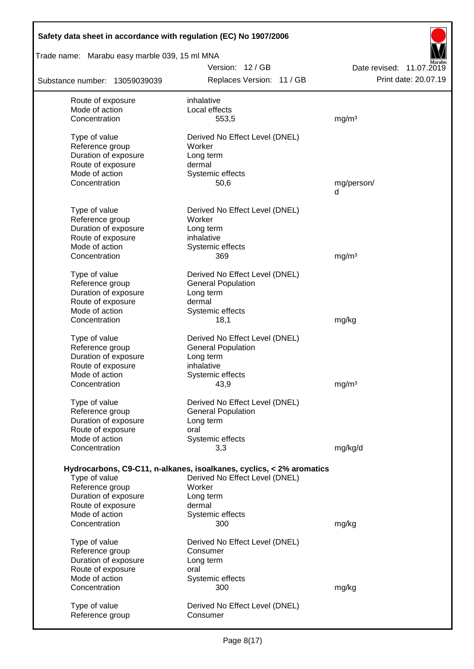| Safety data sheet in accordance with regulation (EC) No 1907/2006 |                                                                      |                                                  |  |  |  |  |  |  |
|-------------------------------------------------------------------|----------------------------------------------------------------------|--------------------------------------------------|--|--|--|--|--|--|
| Trade name: Marabu easy marble 039, 15 ml MNA                     |                                                                      |                                                  |  |  |  |  |  |  |
|                                                                   | Version: 12 / GB<br>Replaces Version: 11 / GB                        | Date revised: 11.07.2019<br>Print date: 20.07.19 |  |  |  |  |  |  |
| Substance number: 13059039039                                     |                                                                      |                                                  |  |  |  |  |  |  |
| Route of exposure                                                 | inhalative                                                           |                                                  |  |  |  |  |  |  |
| Mode of action                                                    | Local effects                                                        |                                                  |  |  |  |  |  |  |
| Concentration                                                     | 553,5                                                                | mg/m <sup>3</sup>                                |  |  |  |  |  |  |
| Type of value                                                     | Derived No Effect Level (DNEL)                                       |                                                  |  |  |  |  |  |  |
| Reference group                                                   | Worker                                                               |                                                  |  |  |  |  |  |  |
| Duration of exposure                                              | Long term                                                            |                                                  |  |  |  |  |  |  |
| Route of exposure                                                 | dermal                                                               |                                                  |  |  |  |  |  |  |
| Mode of action                                                    | Systemic effects                                                     |                                                  |  |  |  |  |  |  |
| Concentration                                                     | 50,6                                                                 | mg/person/                                       |  |  |  |  |  |  |
|                                                                   |                                                                      | d                                                |  |  |  |  |  |  |
| Type of value                                                     | Derived No Effect Level (DNEL)                                       |                                                  |  |  |  |  |  |  |
| Reference group                                                   | Worker                                                               |                                                  |  |  |  |  |  |  |
| Duration of exposure                                              | Long term                                                            |                                                  |  |  |  |  |  |  |
| Route of exposure                                                 | inhalative                                                           |                                                  |  |  |  |  |  |  |
| Mode of action                                                    | Systemic effects                                                     |                                                  |  |  |  |  |  |  |
| Concentration                                                     | 369                                                                  | mg/m <sup>3</sup>                                |  |  |  |  |  |  |
|                                                                   |                                                                      |                                                  |  |  |  |  |  |  |
| Type of value                                                     | Derived No Effect Level (DNEL)                                       |                                                  |  |  |  |  |  |  |
| Reference group                                                   | <b>General Population</b>                                            |                                                  |  |  |  |  |  |  |
| Duration of exposure                                              | Long term                                                            |                                                  |  |  |  |  |  |  |
| Route of exposure<br>Mode of action                               | dermal                                                               |                                                  |  |  |  |  |  |  |
| Concentration                                                     | Systemic effects<br>18,1                                             |                                                  |  |  |  |  |  |  |
|                                                                   |                                                                      | mg/kg                                            |  |  |  |  |  |  |
| Type of value                                                     | Derived No Effect Level (DNEL)                                       |                                                  |  |  |  |  |  |  |
| Reference group                                                   | <b>General Population</b>                                            |                                                  |  |  |  |  |  |  |
| Duration of exposure                                              | Long term                                                            |                                                  |  |  |  |  |  |  |
| Route of exposure                                                 | inhalative                                                           |                                                  |  |  |  |  |  |  |
| Mode of action                                                    | Systemic effects                                                     |                                                  |  |  |  |  |  |  |
| Concentration                                                     | 43,9                                                                 | mg/m <sup>3</sup>                                |  |  |  |  |  |  |
| Type of value                                                     | Derived No Effect Level (DNEL)                                       |                                                  |  |  |  |  |  |  |
| Reference group                                                   | <b>General Population</b>                                            |                                                  |  |  |  |  |  |  |
| Duration of exposure                                              | Long term                                                            |                                                  |  |  |  |  |  |  |
| Route of exposure                                                 | oral                                                                 |                                                  |  |  |  |  |  |  |
| Mode of action                                                    | Systemic effects                                                     |                                                  |  |  |  |  |  |  |
| Concentration                                                     | 3,3                                                                  | mg/kg/d                                          |  |  |  |  |  |  |
|                                                                   |                                                                      |                                                  |  |  |  |  |  |  |
|                                                                   | Hydrocarbons, C9-C11, n-alkanes, isoalkanes, cyclics, < 2% aromatics |                                                  |  |  |  |  |  |  |
| Type of value                                                     | Derived No Effect Level (DNEL)                                       |                                                  |  |  |  |  |  |  |
| Reference group                                                   | Worker                                                               |                                                  |  |  |  |  |  |  |
| Duration of exposure                                              | Long term                                                            |                                                  |  |  |  |  |  |  |
| Route of exposure                                                 | dermal                                                               |                                                  |  |  |  |  |  |  |
| Mode of action                                                    | Systemic effects                                                     |                                                  |  |  |  |  |  |  |
| Concentration                                                     | 300                                                                  | mg/kg                                            |  |  |  |  |  |  |
| Type of value                                                     | Derived No Effect Level (DNEL)                                       |                                                  |  |  |  |  |  |  |
| Reference group                                                   | Consumer                                                             |                                                  |  |  |  |  |  |  |
| Duration of exposure                                              | Long term                                                            |                                                  |  |  |  |  |  |  |
| Route of exposure                                                 | oral                                                                 |                                                  |  |  |  |  |  |  |
| Mode of action                                                    | Systemic effects                                                     |                                                  |  |  |  |  |  |  |
| Concentration                                                     | 300                                                                  | mg/kg                                            |  |  |  |  |  |  |
|                                                                   |                                                                      |                                                  |  |  |  |  |  |  |
| Type of value                                                     | Derived No Effect Level (DNEL)                                       |                                                  |  |  |  |  |  |  |
| Reference group                                                   | Consumer                                                             |                                                  |  |  |  |  |  |  |

 $\overline{\phantom{a}}$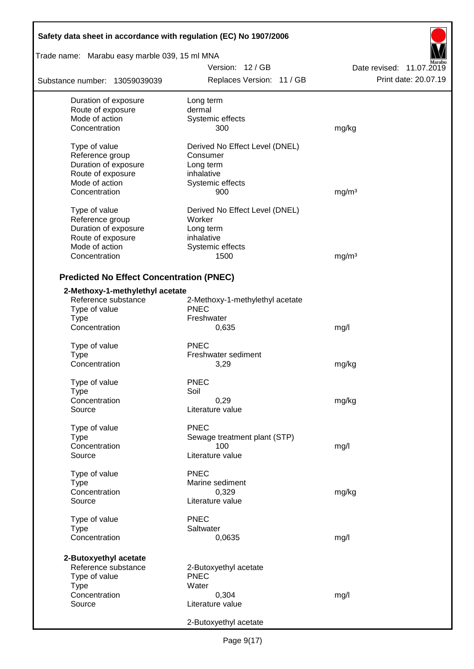| Safety data sheet in accordance with regulation (EC) No 1907/2006 |                                 |                          |  |  |  |
|-------------------------------------------------------------------|---------------------------------|--------------------------|--|--|--|
| Trade name: Marabu easy marble 039, 15 ml MNA                     |                                 |                          |  |  |  |
|                                                                   | Version: 12/GB                  | Date revised: 11.07.2019 |  |  |  |
| Substance number: 13059039039                                     | Replaces Version: 11 / GB       | Print date: 20.07.19     |  |  |  |
| Duration of exposure                                              | Long term                       |                          |  |  |  |
| Route of exposure                                                 | dermal                          |                          |  |  |  |
| Mode of action                                                    | Systemic effects                |                          |  |  |  |
| Concentration                                                     | 300                             | mg/kg                    |  |  |  |
| Type of value                                                     | Derived No Effect Level (DNEL)  |                          |  |  |  |
| Reference group                                                   | Consumer                        |                          |  |  |  |
| Duration of exposure                                              | Long term                       |                          |  |  |  |
| Route of exposure                                                 | inhalative                      |                          |  |  |  |
| Mode of action                                                    | Systemic effects                |                          |  |  |  |
| Concentration                                                     | 900                             | mg/m <sup>3</sup>        |  |  |  |
| Type of value                                                     | Derived No Effect Level (DNEL)  |                          |  |  |  |
| Reference group                                                   | Worker                          |                          |  |  |  |
| Duration of exposure                                              | Long term                       |                          |  |  |  |
| Route of exposure                                                 | inhalative                      |                          |  |  |  |
| Mode of action                                                    | Systemic effects                |                          |  |  |  |
| Concentration                                                     | 1500                            | mg/m <sup>3</sup>        |  |  |  |
| <b>Predicted No Effect Concentration (PNEC)</b>                   |                                 |                          |  |  |  |
| 2-Methoxy-1-methylethyl acetate                                   |                                 |                          |  |  |  |
| Reference substance                                               | 2-Methoxy-1-methylethyl acetate |                          |  |  |  |
| Type of value                                                     | <b>PNEC</b>                     |                          |  |  |  |
| <b>Type</b>                                                       | Freshwater                      |                          |  |  |  |
| Concentration                                                     | 0,635                           | mg/l                     |  |  |  |
| Type of value                                                     | <b>PNEC</b>                     |                          |  |  |  |
| <b>Type</b>                                                       | Freshwater sediment             |                          |  |  |  |
| Concentration                                                     | 3,29                            | mg/kg                    |  |  |  |
|                                                                   |                                 |                          |  |  |  |
| Type of value                                                     | <b>PNEC</b>                     |                          |  |  |  |
| Type                                                              | Soil                            |                          |  |  |  |
| Concentration                                                     | 0,29                            | mg/kg                    |  |  |  |
| Source                                                            | Literature value                |                          |  |  |  |
| Type of value                                                     | <b>PNEC</b>                     |                          |  |  |  |
| <b>Type</b>                                                       | Sewage treatment plant (STP)    |                          |  |  |  |
| Concentration                                                     | 100                             | mg/l                     |  |  |  |
| Source                                                            | Literature value                |                          |  |  |  |
| Type of value                                                     | <b>PNEC</b>                     |                          |  |  |  |
| Type                                                              | Marine sediment                 |                          |  |  |  |
| Concentration                                                     | 0,329                           | mg/kg                    |  |  |  |
| Source                                                            | Literature value                |                          |  |  |  |
| Type of value                                                     | <b>PNEC</b>                     |                          |  |  |  |
| <b>Type</b>                                                       | Saltwater                       |                          |  |  |  |
| Concentration                                                     | 0,0635                          | mg/l                     |  |  |  |
|                                                                   |                                 |                          |  |  |  |
| 2-Butoxyethyl acetate                                             |                                 |                          |  |  |  |
| Reference substance                                               | 2-Butoxyethyl acetate           |                          |  |  |  |
| Type of value                                                     | <b>PNEC</b><br>Water            |                          |  |  |  |
| <b>Type</b><br>Concentration                                      | 0,304                           | mg/l                     |  |  |  |
| Source                                                            | Literature value                |                          |  |  |  |
|                                                                   |                                 |                          |  |  |  |
|                                                                   | 2-Butoxyethyl acetate           |                          |  |  |  |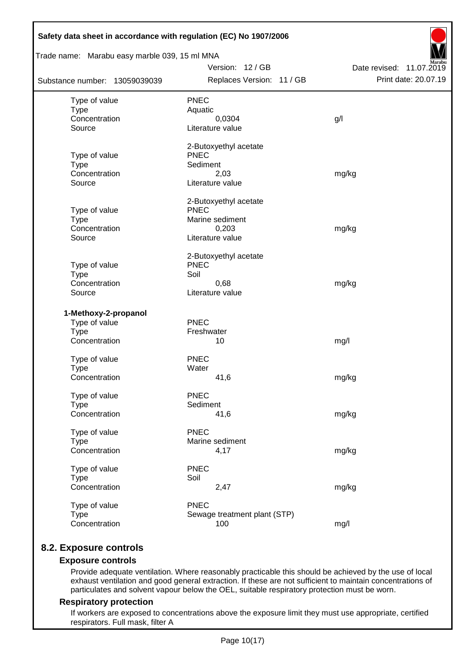| Trade name: Marabu easy marble 039, 15 ml MNA |                                      |                          |  |  |  |  |  |
|-----------------------------------------------|--------------------------------------|--------------------------|--|--|--|--|--|
|                                               | Version: 12 / GB                     | Date revised: 11.07.2019 |  |  |  |  |  |
| Substance number: 13059039039                 | Replaces Version: 11 / GB            | Print date: 20.07.19     |  |  |  |  |  |
| Type of value                                 | <b>PNEC</b>                          |                          |  |  |  |  |  |
| <b>Type</b>                                   | Aquatic                              |                          |  |  |  |  |  |
| Concentration                                 | 0,0304                               | g/l                      |  |  |  |  |  |
| Source                                        | Literature value                     |                          |  |  |  |  |  |
|                                               | 2-Butoxyethyl acetate                |                          |  |  |  |  |  |
| Type of value                                 | <b>PNEC</b>                          |                          |  |  |  |  |  |
| <b>Type</b>                                   | Sediment                             |                          |  |  |  |  |  |
| Concentration<br>Source                       | 2,03<br>Literature value             | mg/kg                    |  |  |  |  |  |
|                                               |                                      |                          |  |  |  |  |  |
|                                               | 2-Butoxyethyl acetate<br><b>PNEC</b> |                          |  |  |  |  |  |
| Type of value<br><b>Type</b>                  | Marine sediment                      |                          |  |  |  |  |  |
| Concentration                                 | 0,203                                | mg/kg                    |  |  |  |  |  |
| Source                                        | Literature value                     |                          |  |  |  |  |  |
|                                               | 2-Butoxyethyl acetate                |                          |  |  |  |  |  |
| Type of value                                 | <b>PNEC</b>                          |                          |  |  |  |  |  |
| <b>Type</b>                                   | Soil                                 |                          |  |  |  |  |  |
| Concentration                                 | 0,68                                 | mg/kg                    |  |  |  |  |  |
| Source                                        | Literature value                     |                          |  |  |  |  |  |
| 1-Methoxy-2-propanol                          |                                      |                          |  |  |  |  |  |
| Type of value                                 | <b>PNEC</b>                          |                          |  |  |  |  |  |
| <b>Type</b>                                   | Freshwater                           |                          |  |  |  |  |  |
| Concentration                                 | 10                                   | mg/l                     |  |  |  |  |  |
| Type of value                                 | <b>PNEC</b>                          |                          |  |  |  |  |  |
| <b>Type</b>                                   | Water                                |                          |  |  |  |  |  |
| Concentration                                 | 41,6                                 | mg/kg                    |  |  |  |  |  |
| Type of value                                 | <b>PNEC</b>                          |                          |  |  |  |  |  |
| <b>Type</b>                                   | Sediment                             |                          |  |  |  |  |  |
| Concentration                                 | 41,6                                 | mg/kg                    |  |  |  |  |  |
| Type of value                                 | <b>PNEC</b>                          |                          |  |  |  |  |  |
| <b>Type</b>                                   | Marine sediment                      |                          |  |  |  |  |  |
| Concentration                                 | 4,17                                 | mg/kg                    |  |  |  |  |  |
| Type of value                                 | <b>PNEC</b>                          |                          |  |  |  |  |  |
| <b>Type</b>                                   | Soil                                 |                          |  |  |  |  |  |
| Concentration                                 | 2,47                                 | mg/kg                    |  |  |  |  |  |
| Type of value                                 | <b>PNEC</b>                          |                          |  |  |  |  |  |
| <b>Type</b>                                   | Sewage treatment plant (STP)         |                          |  |  |  |  |  |
| Concentration                                 | 100                                  | mg/l                     |  |  |  |  |  |

## **8.2. Exposure controls**

### **Exposure controls**

Provide adequate ventilation. Where reasonably practicable this should be achieved by the use of local exhaust ventilation and good general extraction. If these are not sufficient to maintain concentrations of particulates and solvent vapour below the OEL, suitable respiratory protection must be worn.

### **Respiratory protection**

If workers are exposed to concentrations above the exposure limit they must use appropriate, certified respirators. Full mask, filter A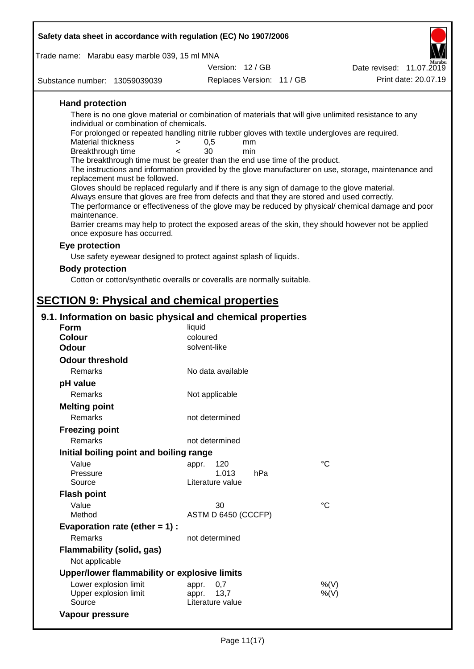| Safety data sheet in accordance with regulation (EC) No 1907/2006 |                                                                                                                       |                                                                                                       |
|-------------------------------------------------------------------|-----------------------------------------------------------------------------------------------------------------------|-------------------------------------------------------------------------------------------------------|
| Trade name: Marabu easy marble 039, 15 ml MNA                     |                                                                                                                       |                                                                                                       |
|                                                                   | Version: 12 / GB                                                                                                      | Date revised: 11.07.2019                                                                              |
| Substance number: 13059039039                                     | Replaces Version: 11 / GB                                                                                             | Print date: 20.07.19                                                                                  |
| <b>Hand protection</b>                                            |                                                                                                                       |                                                                                                       |
|                                                                   |                                                                                                                       | There is no one glove material or combination of materials that will give unlimited resistance to any |
| individual or combination of chemicals.                           |                                                                                                                       |                                                                                                       |
| Material thickness                                                | For prolonged or repeated handling nitrile rubber gloves with textile undergloves are required.<br>0,5<br>$\,>$<br>mm |                                                                                                       |
| Breakthrough time                                                 | 30<br>min<br>$\epsilon$                                                                                               |                                                                                                       |
|                                                                   | The breakthrough time must be greater than the end use time of the product.                                           |                                                                                                       |
| replacement must be followed.                                     |                                                                                                                       | The instructions and information provided by the glove manufacturer on use, storage, maintenance and  |
|                                                                   | Gloves should be replaced regularly and if there is any sign of damage to the glove material.                         |                                                                                                       |
|                                                                   | Always ensure that gloves are free from defects and that they are stored and used correctly.                          |                                                                                                       |
| maintenance.                                                      |                                                                                                                       | The performance or effectiveness of the glove may be reduced by physical/ chemical damage and poor    |
| once exposure has occurred.                                       |                                                                                                                       | Barrier creams may help to protect the exposed areas of the skin, they should however not be applied  |
| Eye protection                                                    |                                                                                                                       |                                                                                                       |
|                                                                   | Use safety eyewear designed to protect against splash of liquids.                                                     |                                                                                                       |
| <b>Body protection</b>                                            |                                                                                                                       |                                                                                                       |
|                                                                   | Cotton or cotton/synthetic overalls or coveralls are normally suitable.                                               |                                                                                                       |
| <b>SECTION 9: Physical and chemical properties</b>                |                                                                                                                       |                                                                                                       |
|                                                                   |                                                                                                                       |                                                                                                       |
| 9.1. Information on basic physical and chemical properties        |                                                                                                                       |                                                                                                       |
| <b>Form</b><br><b>Colour</b>                                      | liquid<br>coloured                                                                                                    |                                                                                                       |
| <b>Odour</b>                                                      | solvent-like                                                                                                          |                                                                                                       |
| <b>Odour threshold</b>                                            |                                                                                                                       |                                                                                                       |
| Remarks                                                           | No data available                                                                                                     |                                                                                                       |
| pH value                                                          |                                                                                                                       |                                                                                                       |
| Remarks                                                           | Not applicable                                                                                                        |                                                                                                       |
| <b>Melting point</b>                                              |                                                                                                                       |                                                                                                       |
| Remarks                                                           | not determined                                                                                                        |                                                                                                       |
| <b>Freezing point</b>                                             |                                                                                                                       |                                                                                                       |
| Remarks                                                           | not determined                                                                                                        |                                                                                                       |
| Initial boiling point and boiling range                           |                                                                                                                       |                                                                                                       |
| Value                                                             | 120<br>appr.                                                                                                          | $^{\circ}C$                                                                                           |
| Pressure                                                          | 1.013<br>hPa                                                                                                          |                                                                                                       |
| Source                                                            | Literature value                                                                                                      |                                                                                                       |
| <b>Flash point</b>                                                |                                                                                                                       |                                                                                                       |
| Value<br>Method                                                   | 30<br>ASTM D 6450 (CCCFP)                                                                                             | $^{\circ}C$                                                                                           |
| Evaporation rate (ether $= 1$ ) :                                 |                                                                                                                       |                                                                                                       |
| Remarks                                                           | not determined                                                                                                        |                                                                                                       |
| Flammability (solid, gas)                                         |                                                                                                                       |                                                                                                       |
| Not applicable                                                    |                                                                                                                       |                                                                                                       |
| Upper/lower flammability or explosive limits                      |                                                                                                                       |                                                                                                       |
| Lower explosion limit                                             | 0,7<br>appr.                                                                                                          | %(V)                                                                                                  |
| Upper explosion limit                                             | appr.<br>13,7                                                                                                         | $%$ (V)                                                                                               |
| Source                                                            | Literature value                                                                                                      |                                                                                                       |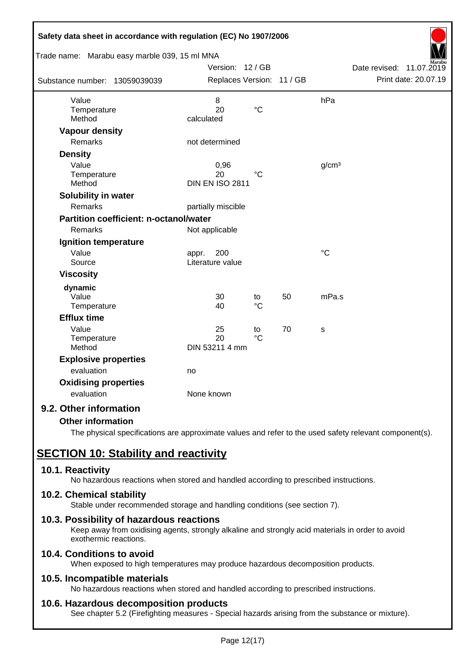| Safety data sheet in accordance with regulation (EC) No 1907/2006 |                           |                 |    |                   |                             |
|-------------------------------------------------------------------|---------------------------|-----------------|----|-------------------|-----------------------------|
| Trade name: Marabu easy marble 039, 15 ml MNA                     |                           |                 |    |                   |                             |
|                                                                   | Version: 12 / GB          |                 |    |                   | Date revised:<br>11.07.2019 |
| Substance number: 13059039039                                     | Replaces Version: 11 / GB |                 |    |                   | Print date: 20.07.19        |
| Value                                                             | 8                         |                 |    | hPa               |                             |
| Temperature                                                       | 20                        | $\rm ^{\circ}C$ |    |                   |                             |
| Method                                                            | calculated                |                 |    |                   |                             |
| <b>Vapour density</b>                                             |                           |                 |    |                   |                             |
| <b>Remarks</b>                                                    | not determined            |                 |    |                   |                             |
| <b>Density</b>                                                    |                           |                 |    |                   |                             |
| Value                                                             | 0,96                      |                 |    | g/cm <sup>3</sup> |                             |
| Temperature                                                       | 20                        | $^{\circ}C$     |    |                   |                             |
| Method                                                            | <b>DIN EN ISO 2811</b>    |                 |    |                   |                             |
| Solubility in water                                               |                           |                 |    |                   |                             |
| Remarks                                                           | partially miscible        |                 |    |                   |                             |
| <b>Partition coefficient: n-octanol/water</b>                     |                           |                 |    |                   |                             |
| Remarks                                                           | Not applicable            |                 |    |                   |                             |
| Ignition temperature                                              |                           |                 |    |                   |                             |
| Value                                                             | 200<br>appr.              |                 |    | $\rm ^{\circ}C$   |                             |
| Source                                                            | Literature value          |                 |    |                   |                             |
| <b>Viscosity</b>                                                  |                           |                 |    |                   |                             |
| dynamic                                                           |                           |                 |    |                   |                             |
| Value                                                             | 30                        | to              | 50 | mPa.s             |                             |
| Temperature                                                       | 40                        | $\rm ^{\circ}C$ |    |                   |                             |
| <b>Efflux time</b>                                                |                           |                 |    |                   |                             |
| Value                                                             | 25                        | to              | 70 | S                 |                             |
| Temperature                                                       | 20                        | $\rm ^{\circ}C$ |    |                   |                             |
| Method                                                            | DIN 53211 4 mm            |                 |    |                   |                             |
| <b>Explosive properties</b>                                       |                           |                 |    |                   |                             |
| evaluation                                                        | no                        |                 |    |                   |                             |
| <b>Oxidising properties</b>                                       |                           |                 |    |                   |                             |
| evaluation                                                        | None known                |                 |    |                   |                             |
| 9.2. Other information                                            |                           |                 |    |                   |                             |

### **Other information**

The physical specifications are approximate values and refer to the used safety relevant component(s).

# **SECTION 10: Stability and reactivity**

### **10.1. Reactivity**

No hazardous reactions when stored and handled according to prescribed instructions.

### **10.2. Chemical stability**

Stable under recommended storage and handling conditions (see section 7).

### **10.3. Possibility of hazardous reactions**

Keep away from oxidising agents, strongly alkaline and strongly acid materials in order to avoid exothermic reactions.

## **10.4. Conditions to avoid**

When exposed to high temperatures may produce hazardous decomposition products.

### **10.5. Incompatible materials**

No hazardous reactions when stored and handled according to prescribed instructions.

### **10.6. Hazardous decomposition products**

See chapter 5.2 (Firefighting measures - Special hazards arising from the substance or mixture).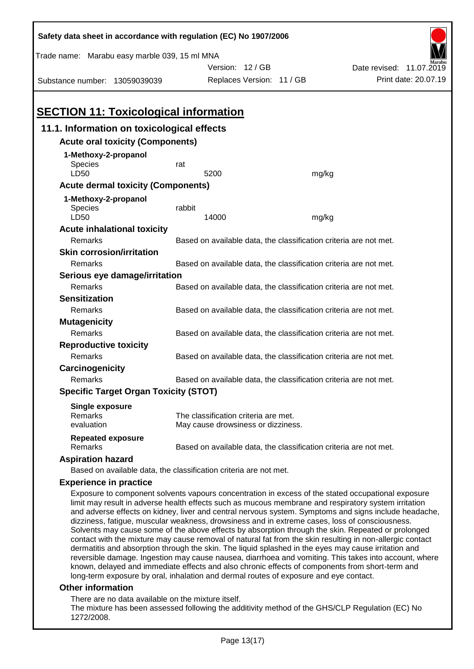| Safety data sheet in accordance with regulation (EC) No 1907/2006                                                                                                                                                                                                                                                                                                                                                                                                                                                                                                                                                                                                                                                                                                                                                                                         |                                                                   |                                                                            |       |                          |  |  |  |
|-----------------------------------------------------------------------------------------------------------------------------------------------------------------------------------------------------------------------------------------------------------------------------------------------------------------------------------------------------------------------------------------------------------------------------------------------------------------------------------------------------------------------------------------------------------------------------------------------------------------------------------------------------------------------------------------------------------------------------------------------------------------------------------------------------------------------------------------------------------|-------------------------------------------------------------------|----------------------------------------------------------------------------|-------|--------------------------|--|--|--|
| Trade name: Marabu easy marble 039, 15 ml MNA                                                                                                                                                                                                                                                                                                                                                                                                                                                                                                                                                                                                                                                                                                                                                                                                             |                                                                   |                                                                            |       |                          |  |  |  |
|                                                                                                                                                                                                                                                                                                                                                                                                                                                                                                                                                                                                                                                                                                                                                                                                                                                           |                                                                   | Version: 12 / GB                                                           |       | Date revised: 11.07.2019 |  |  |  |
| Substance number: 13059039039                                                                                                                                                                                                                                                                                                                                                                                                                                                                                                                                                                                                                                                                                                                                                                                                                             |                                                                   | Replaces Version: 11 / GB                                                  |       | Print date: 20.07.19     |  |  |  |
|                                                                                                                                                                                                                                                                                                                                                                                                                                                                                                                                                                                                                                                                                                                                                                                                                                                           |                                                                   |                                                                            |       |                          |  |  |  |
| <b>SECTION 11: Toxicological information</b>                                                                                                                                                                                                                                                                                                                                                                                                                                                                                                                                                                                                                                                                                                                                                                                                              |                                                                   |                                                                            |       |                          |  |  |  |
| 11.1. Information on toxicological effects                                                                                                                                                                                                                                                                                                                                                                                                                                                                                                                                                                                                                                                                                                                                                                                                                |                                                                   |                                                                            |       |                          |  |  |  |
| <b>Acute oral toxicity (Components)</b>                                                                                                                                                                                                                                                                                                                                                                                                                                                                                                                                                                                                                                                                                                                                                                                                                   |                                                                   |                                                                            |       |                          |  |  |  |
| 1-Methoxy-2-propanol                                                                                                                                                                                                                                                                                                                                                                                                                                                                                                                                                                                                                                                                                                                                                                                                                                      |                                                                   |                                                                            |       |                          |  |  |  |
| <b>Species</b>                                                                                                                                                                                                                                                                                                                                                                                                                                                                                                                                                                                                                                                                                                                                                                                                                                            | rat                                                               |                                                                            |       |                          |  |  |  |
| LD50                                                                                                                                                                                                                                                                                                                                                                                                                                                                                                                                                                                                                                                                                                                                                                                                                                                      |                                                                   | 5200                                                                       | mg/kg |                          |  |  |  |
| <b>Acute dermal toxicity (Components)</b>                                                                                                                                                                                                                                                                                                                                                                                                                                                                                                                                                                                                                                                                                                                                                                                                                 |                                                                   |                                                                            |       |                          |  |  |  |
| 1-Methoxy-2-propanol<br>Species                                                                                                                                                                                                                                                                                                                                                                                                                                                                                                                                                                                                                                                                                                                                                                                                                           | rabbit                                                            |                                                                            |       |                          |  |  |  |
| LD50                                                                                                                                                                                                                                                                                                                                                                                                                                                                                                                                                                                                                                                                                                                                                                                                                                                      |                                                                   | 14000                                                                      | mg/kg |                          |  |  |  |
| <b>Acute inhalational toxicity</b>                                                                                                                                                                                                                                                                                                                                                                                                                                                                                                                                                                                                                                                                                                                                                                                                                        |                                                                   |                                                                            |       |                          |  |  |  |
| Remarks                                                                                                                                                                                                                                                                                                                                                                                                                                                                                                                                                                                                                                                                                                                                                                                                                                                   |                                                                   | Based on available data, the classification criteria are not met.          |       |                          |  |  |  |
| <b>Skin corrosion/irritation</b>                                                                                                                                                                                                                                                                                                                                                                                                                                                                                                                                                                                                                                                                                                                                                                                                                          |                                                                   |                                                                            |       |                          |  |  |  |
| Remarks                                                                                                                                                                                                                                                                                                                                                                                                                                                                                                                                                                                                                                                                                                                                                                                                                                                   |                                                                   | Based on available data, the classification criteria are not met.          |       |                          |  |  |  |
| Serious eye damage/irritation                                                                                                                                                                                                                                                                                                                                                                                                                                                                                                                                                                                                                                                                                                                                                                                                                             |                                                                   |                                                                            |       |                          |  |  |  |
| Remarks                                                                                                                                                                                                                                                                                                                                                                                                                                                                                                                                                                                                                                                                                                                                                                                                                                                   |                                                                   | Based on available data, the classification criteria are not met.          |       |                          |  |  |  |
| <b>Sensitization</b>                                                                                                                                                                                                                                                                                                                                                                                                                                                                                                                                                                                                                                                                                                                                                                                                                                      |                                                                   |                                                                            |       |                          |  |  |  |
| Remarks                                                                                                                                                                                                                                                                                                                                                                                                                                                                                                                                                                                                                                                                                                                                                                                                                                                   | Based on available data, the classification criteria are not met. |                                                                            |       |                          |  |  |  |
| <b>Mutagenicity</b>                                                                                                                                                                                                                                                                                                                                                                                                                                                                                                                                                                                                                                                                                                                                                                                                                                       |                                                                   |                                                                            |       |                          |  |  |  |
| Remarks                                                                                                                                                                                                                                                                                                                                                                                                                                                                                                                                                                                                                                                                                                                                                                                                                                                   | Based on available data, the classification criteria are not met. |                                                                            |       |                          |  |  |  |
|                                                                                                                                                                                                                                                                                                                                                                                                                                                                                                                                                                                                                                                                                                                                                                                                                                                           | <b>Reproductive toxicity</b>                                      |                                                                            |       |                          |  |  |  |
| Remarks                                                                                                                                                                                                                                                                                                                                                                                                                                                                                                                                                                                                                                                                                                                                                                                                                                                   |                                                                   | Based on available data, the classification criteria are not met.          |       |                          |  |  |  |
| Carcinogenicity                                                                                                                                                                                                                                                                                                                                                                                                                                                                                                                                                                                                                                                                                                                                                                                                                                           |                                                                   |                                                                            |       |                          |  |  |  |
| Based on available data, the classification criteria are not met.<br>Remarks                                                                                                                                                                                                                                                                                                                                                                                                                                                                                                                                                                                                                                                                                                                                                                              |                                                                   |                                                                            |       |                          |  |  |  |
| <b>Specific Target Organ Toxicity (STOT)</b>                                                                                                                                                                                                                                                                                                                                                                                                                                                                                                                                                                                                                                                                                                                                                                                                              |                                                                   |                                                                            |       |                          |  |  |  |
| <b>Single exposure</b>                                                                                                                                                                                                                                                                                                                                                                                                                                                                                                                                                                                                                                                                                                                                                                                                                                    |                                                                   |                                                                            |       |                          |  |  |  |
| Remarks<br>evaluation                                                                                                                                                                                                                                                                                                                                                                                                                                                                                                                                                                                                                                                                                                                                                                                                                                     |                                                                   | The classification criteria are met.<br>May cause drowsiness or dizziness. |       |                          |  |  |  |
| <b>Repeated exposure</b>                                                                                                                                                                                                                                                                                                                                                                                                                                                                                                                                                                                                                                                                                                                                                                                                                                  |                                                                   |                                                                            |       |                          |  |  |  |
| Remarks                                                                                                                                                                                                                                                                                                                                                                                                                                                                                                                                                                                                                                                                                                                                                                                                                                                   |                                                                   | Based on available data, the classification criteria are not met.          |       |                          |  |  |  |
| <b>Aspiration hazard</b>                                                                                                                                                                                                                                                                                                                                                                                                                                                                                                                                                                                                                                                                                                                                                                                                                                  |                                                                   |                                                                            |       |                          |  |  |  |
| Based on available data, the classification criteria are not met.                                                                                                                                                                                                                                                                                                                                                                                                                                                                                                                                                                                                                                                                                                                                                                                         |                                                                   |                                                                            |       |                          |  |  |  |
| <b>Experience in practice</b>                                                                                                                                                                                                                                                                                                                                                                                                                                                                                                                                                                                                                                                                                                                                                                                                                             |                                                                   |                                                                            |       |                          |  |  |  |
| Exposure to component solvents vapours concentration in excess of the stated occupational exposure<br>limit may result in adverse health effects such as mucous membrane and respiratory system irritation<br>and adverse effects on kidney, liver and central nervous system. Symptoms and signs include headache,<br>dizziness, fatigue, muscular weakness, drowsiness and in extreme cases, loss of consciousness.<br>Solvents may cause some of the above effects by absorption through the skin. Repeated or prolonged<br>contact with the mixture may cause removal of natural fat from the skin resulting in non-allergic contact<br>dermatitis and absorption through the skin. The liquid splashed in the eyes may cause irritation and<br>reversible damage. Ingestion may cause nausea, diarrhoea and vomiting. This takes into account, where |                                                                   |                                                                            |       |                          |  |  |  |

### **Other information**

There are no data available on the mixture itself.

The mixture has been assessed following the additivity method of the GHS/CLP Regulation (EC) No 1272/2008.

known, delayed and immediate effects and also chronic effects of components from short-term and

long-term exposure by oral, inhalation and dermal routes of exposure and eye contact.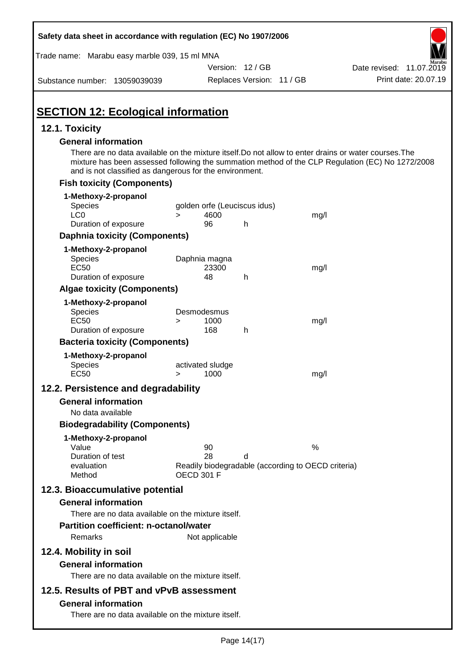| Safety data sheet in accordance with regulation (EC) No 1907/2006                                                                                                                              |                                                                                     |                           |      |                                                                                                  |
|------------------------------------------------------------------------------------------------------------------------------------------------------------------------------------------------|-------------------------------------------------------------------------------------|---------------------------|------|--------------------------------------------------------------------------------------------------|
| Trade name: Marabu easy marble 039, 15 ml MNA                                                                                                                                                  |                                                                                     |                           |      |                                                                                                  |
|                                                                                                                                                                                                |                                                                                     | Version: 12 / GB          |      | Date revised: 11.07.2019                                                                         |
| Substance number: 13059039039                                                                                                                                                                  |                                                                                     | Replaces Version: 11 / GB |      | Print date: 20.07.19                                                                             |
| <b>SECTION 12: Ecological information</b>                                                                                                                                                      |                                                                                     |                           |      |                                                                                                  |
| 12.1. Toxicity                                                                                                                                                                                 |                                                                                     |                           |      |                                                                                                  |
| <b>General information</b><br>There are no data available on the mixture itself. Do not allow to enter drains or water courses. The<br>and is not classified as dangerous for the environment. |                                                                                     |                           |      | mixture has been assessed following the summation method of the CLP Regulation (EC) No 1272/2008 |
| <b>Fish toxicity (Components)</b>                                                                                                                                                              |                                                                                     |                           |      |                                                                                                  |
| 1-Methoxy-2-propanol<br><b>Species</b><br>LC <sub>0</sub>                                                                                                                                      | golden orfe (Leuciscus idus)<br>4600<br>$\geq$                                      |                           | mg/l |                                                                                                  |
| Duration of exposure                                                                                                                                                                           | 96                                                                                  | h                         |      |                                                                                                  |
| <b>Daphnia toxicity (Components)</b>                                                                                                                                                           |                                                                                     |                           |      |                                                                                                  |
| 1-Methoxy-2-propanol<br><b>Species</b><br><b>EC50</b><br>Duration of exposure                                                                                                                  | Daphnia magna<br>23300<br>48                                                        | h                         | mg/l |                                                                                                  |
| <b>Algae toxicity (Components)</b>                                                                                                                                                             |                                                                                     |                           |      |                                                                                                  |
| 1-Methoxy-2-propanol<br><b>Species</b><br><b>EC50</b><br>Duration of exposure                                                                                                                  | Desmodesmus<br>1000<br>$\geq$<br>168                                                | h                         | mg/l |                                                                                                  |
| <b>Bacteria toxicity (Components)</b>                                                                                                                                                          |                                                                                     |                           |      |                                                                                                  |
| 1-Methoxy-2-propanol<br>Species<br><b>EC50</b>                                                                                                                                                 | activated sludge<br>1000<br>>                                                       |                           | mg/l |                                                                                                  |
| 12.2. Persistence and degradability                                                                                                                                                            |                                                                                     |                           |      |                                                                                                  |
| <b>General information</b>                                                                                                                                                                     |                                                                                     |                           |      |                                                                                                  |
| No data available<br><b>Biodegradability (Components)</b>                                                                                                                                      |                                                                                     |                           |      |                                                                                                  |
| 1-Methoxy-2-propanol<br>Value<br>Duration of test<br>evaluation<br>Method                                                                                                                      | 90<br>28<br>Readily biodegradable (according to OECD criteria)<br><b>OECD 301 F</b> | d                         | %    |                                                                                                  |
| 12.3. Bioaccumulative potential<br><b>General information</b><br>There are no data available on the mixture itself.                                                                            |                                                                                     |                           |      |                                                                                                  |
| <b>Partition coefficient: n-octanol/water</b><br>Remarks                                                                                                                                       | Not applicable                                                                      |                           |      |                                                                                                  |
| 12.4. Mobility in soil<br><b>General information</b><br>There are no data available on the mixture itself.                                                                                     |                                                                                     |                           |      |                                                                                                  |
| 12.5. Results of PBT and vPvB assessment<br><b>General information</b><br>There are no data available on the mixture itself.                                                                   |                                                                                     |                           |      |                                                                                                  |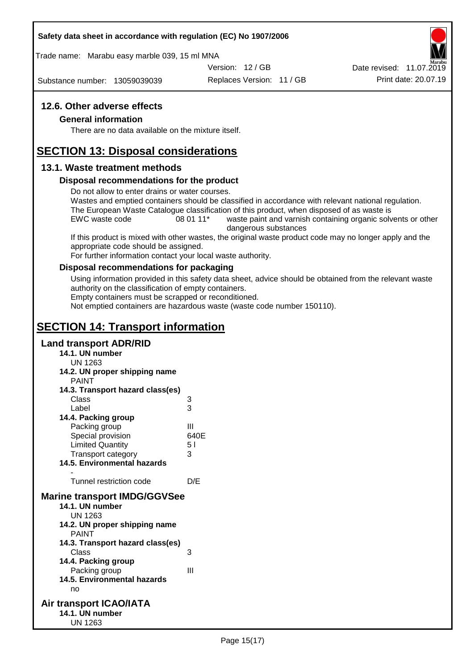### **Safety data sheet in accordance with regulation (EC) No 1907/2006**

Trade name: Marabu easy marble 039, 15 ml MNA

Version: 12 / GB

Substance number: 13059039039

Replaces Version: 11 / GB Print date: 20.07.19 Date revised: 11.07.2019

### **12.6. Other adverse effects**

### **General information**

There are no data available on the mixture itself.

## **SECTION 13: Disposal considerations**

### **13.1. Waste treatment methods**

### **Disposal recommendations for the product**

Do not allow to enter drains or water courses.

Wastes and emptied containers should be classified in accordance with relevant national regulation. The European Waste Catalogue classification of this product, when disposed of as waste is

EWC waste code 08 01 11<sup>\*</sup> waste paint and varnish containing organic solvents or other dangerous substances

If this product is mixed with other wastes, the original waste product code may no longer apply and the appropriate code should be assigned.

For further information contact your local waste authority.

### **Disposal recommendations for packaging**

Using information provided in this safety data sheet, advice should be obtained from the relevant waste authority on the classification of empty containers.

Empty containers must be scrapped or reconditioned.

Not emptied containers are hazardous waste (waste code number 150110).

# **SECTION 14: Transport information**

### **Land transport ADR/RID**

- **14.1. UN number**
	- UN 1263
- **14.2. UN proper shipping name**
	- **DAINIT**

| <b>FAIIVI</b>                       |      |
|-------------------------------------|------|
| 14.3. Transport hazard class(es)    |      |
| Class                               | 3    |
| Label                               | 3    |
| 14.4. Packing group                 |      |
| Packing group                       | Ш    |
| Special provision                   | 640E |
| <b>Limited Quantity</b>             | 51   |
| <b>Transport category</b>           | 3    |
| <b>14.5. Environmental hazards</b>  |      |
|                                     |      |
| Tunnel restriction code             | D/E  |
| <b>Marine transport IMDG/GGVSee</b> |      |
| 14.1. UN number                     |      |
| UN 1263                             |      |
| 14.2. UN proper shipping name       |      |
| <b>PAINT</b>                        |      |
| 14.3. Transport hazard class(es)    |      |
| Class                               | 3    |
| 14.4. Packing group                 |      |
| Packing group                       | Ш    |
| 14.5. Environmental hazards         |      |
| nn                                  |      |

### **Air transport ICAO/IATA 14.1. UN number** UN 1263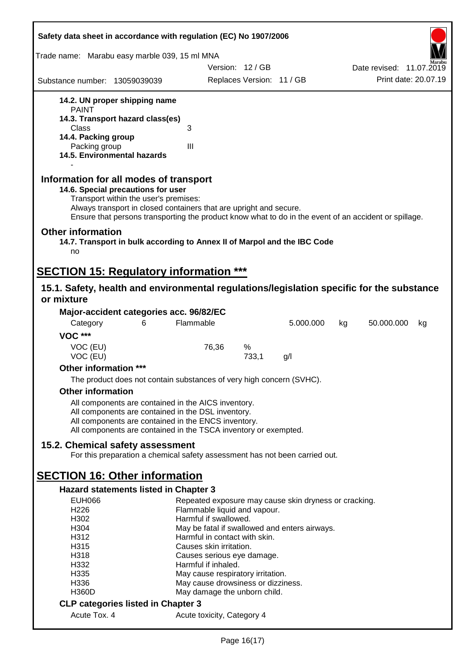| Safety data sheet in accordance with regulation (EC) No 1907/2006                                                                                                                                                                                                                                    |                                                                                |                           |           |    |                          |                      |
|------------------------------------------------------------------------------------------------------------------------------------------------------------------------------------------------------------------------------------------------------------------------------------------------------|--------------------------------------------------------------------------------|---------------------------|-----------|----|--------------------------|----------------------|
| Trade name: Marabu easy marble 039, 15 ml MNA                                                                                                                                                                                                                                                        |                                                                                |                           |           |    |                          |                      |
|                                                                                                                                                                                                                                                                                                      | Version: 12 / GB                                                               |                           |           |    | Date revised: 11.07.2019 |                      |
| Substance number: 13059039039                                                                                                                                                                                                                                                                        |                                                                                | Replaces Version: 11 / GB |           |    |                          | Print date: 20.07.19 |
| 14.2. UN proper shipping name                                                                                                                                                                                                                                                                        |                                                                                |                           |           |    |                          |                      |
| <b>PAINT</b>                                                                                                                                                                                                                                                                                         |                                                                                |                           |           |    |                          |                      |
| 14.3. Transport hazard class(es)                                                                                                                                                                                                                                                                     |                                                                                |                           |           |    |                          |                      |
| <b>Class</b><br>14.4. Packing group                                                                                                                                                                                                                                                                  | 3                                                                              |                           |           |    |                          |                      |
| Packing group                                                                                                                                                                                                                                                                                        | III                                                                            |                           |           |    |                          |                      |
| 14.5. Environmental hazards                                                                                                                                                                                                                                                                          |                                                                                |                           |           |    |                          |                      |
| Information for all modes of transport<br>14.6. Special precautions for user<br>Transport within the user's premises:<br>Always transport in closed containers that are upright and secure.<br>Ensure that persons transporting the product know what to do in the event of an accident or spillage. |                                                                                |                           |           |    |                          |                      |
| <b>Other information</b><br>14.7. Transport in bulk according to Annex II of Marpol and the IBC Code<br>no                                                                                                                                                                                           |                                                                                |                           |           |    |                          |                      |
| <b>SECTION 15: Regulatory information ***</b>                                                                                                                                                                                                                                                        |                                                                                |                           |           |    |                          |                      |
| 15.1. Safety, health and environmental regulations/legislation specific for the substance                                                                                                                                                                                                            |                                                                                |                           |           |    |                          |                      |
| or mixture                                                                                                                                                                                                                                                                                           |                                                                                |                           |           |    |                          |                      |
| Major-accident categories acc. 96/82/EC                                                                                                                                                                                                                                                              |                                                                                |                           |           |    |                          |                      |
| Category<br>6                                                                                                                                                                                                                                                                                        | Flammable                                                                      |                           | 5.000.000 | kg | 50.000.000               | kg                   |
| <b>VOC ***</b>                                                                                                                                                                                                                                                                                       |                                                                                |                           |           |    |                          |                      |
| VOC (EU)<br>VOC (EU)                                                                                                                                                                                                                                                                                 | 76,36                                                                          | %<br>733,1                | g/l       |    |                          |                      |
| Other information ***                                                                                                                                                                                                                                                                                |                                                                                |                           |           |    |                          |                      |
| The product does not contain substances of very high concern (SVHC).                                                                                                                                                                                                                                 |                                                                                |                           |           |    |                          |                      |
| <b>Other information</b>                                                                                                                                                                                                                                                                             |                                                                                |                           |           |    |                          |                      |
| All components are contained in the AICS inventory.                                                                                                                                                                                                                                                  |                                                                                |                           |           |    |                          |                      |
| All components are contained in the DSL inventory.                                                                                                                                                                                                                                                   |                                                                                |                           |           |    |                          |                      |
| All components are contained in the ENCS inventory.<br>All components are contained in the TSCA inventory or exempted.                                                                                                                                                                               |                                                                                |                           |           |    |                          |                      |
|                                                                                                                                                                                                                                                                                                      |                                                                                |                           |           |    |                          |                      |
| 15.2. Chemical safety assessment<br>For this preparation a chemical safety assessment has not been carried out.                                                                                                                                                                                      |                                                                                |                           |           |    |                          |                      |
| <b>SECTION 16: Other information</b>                                                                                                                                                                                                                                                                 |                                                                                |                           |           |    |                          |                      |
| <b>Hazard statements listed in Chapter 3</b>                                                                                                                                                                                                                                                         |                                                                                |                           |           |    |                          |                      |
| <b>EUH066</b>                                                                                                                                                                                                                                                                                        | Repeated exposure may cause skin dryness or cracking.                          |                           |           |    |                          |                      |
| H226                                                                                                                                                                                                                                                                                                 | Flammable liquid and vapour.                                                   |                           |           |    |                          |                      |
| H302                                                                                                                                                                                                                                                                                                 | Harmful if swallowed.                                                          |                           |           |    |                          |                      |
| H304<br>H312                                                                                                                                                                                                                                                                                         | May be fatal if swallowed and enters airways.<br>Harmful in contact with skin. |                           |           |    |                          |                      |
| H315                                                                                                                                                                                                                                                                                                 | Causes skin irritation.                                                        |                           |           |    |                          |                      |
| H318                                                                                                                                                                                                                                                                                                 | Causes serious eye damage.                                                     |                           |           |    |                          |                      |
| H332                                                                                                                                                                                                                                                                                                 | Harmful if inhaled.                                                            |                           |           |    |                          |                      |
| H335                                                                                                                                                                                                                                                                                                 | May cause respiratory irritation.                                              |                           |           |    |                          |                      |
| H336<br><b>H360D</b>                                                                                                                                                                                                                                                                                 | May cause drowsiness or dizziness.<br>May damage the unborn child.             |                           |           |    |                          |                      |
| <b>CLP categories listed in Chapter 3</b>                                                                                                                                                                                                                                                            |                                                                                |                           |           |    |                          |                      |
| Acute Tox. 4                                                                                                                                                                                                                                                                                         | Acute toxicity, Category 4                                                     |                           |           |    |                          |                      |